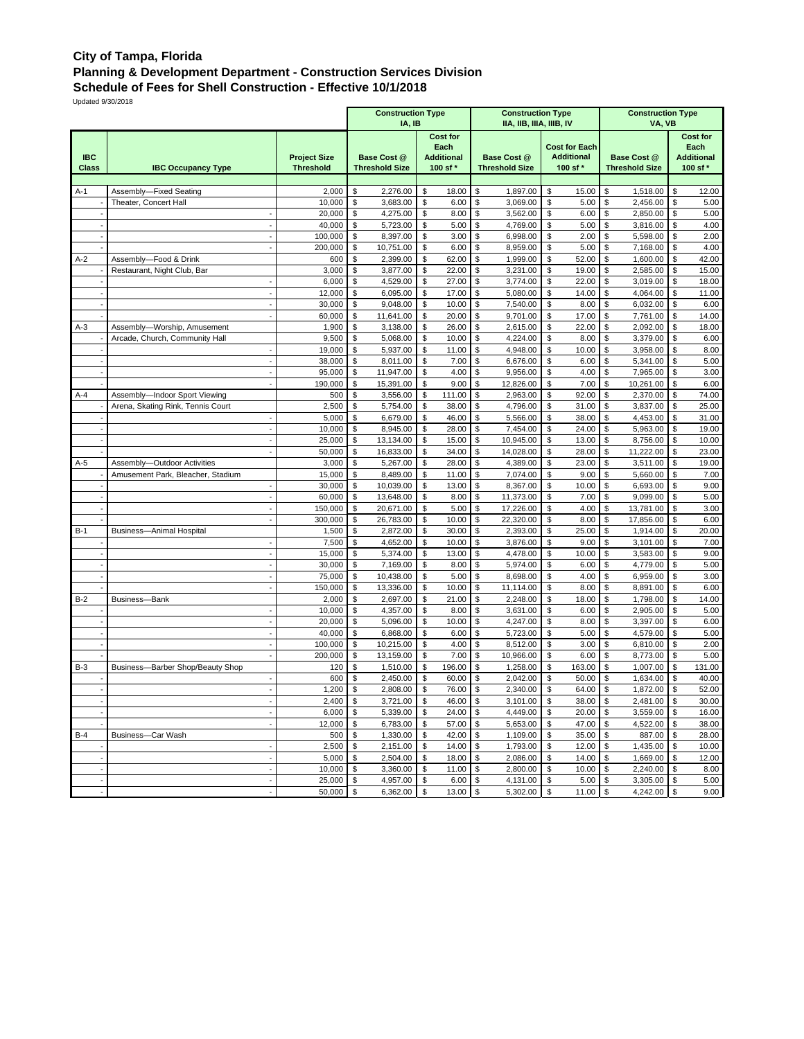## **City of Tampa, Florida Planning & Development Department - Construction Services Division**

**Schedule of Fees for Shell Construction - Effective 10/1/2018**

Updated 9/30/2018

|                            |                                   |                                         | <b>Construction Type</b><br>IA, IB          |                                                          | <b>Construction Type</b><br>IIA, IIB, IIIA, IIIB, IV |                                                       | <b>Construction Type</b><br>VA, VB          |                                                          |  |  |  |
|----------------------------|-----------------------------------|-----------------------------------------|---------------------------------------------|----------------------------------------------------------|------------------------------------------------------|-------------------------------------------------------|---------------------------------------------|----------------------------------------------------------|--|--|--|
| <b>IBC</b><br><b>Class</b> | <b>IBC Occupancy Type</b>         | <b>Project Size</b><br><b>Threshold</b> | <b>Base Cost @</b><br><b>Threshold Size</b> | <b>Cost for</b><br>Each<br><b>Additional</b><br>100 sf * | <b>Base Cost @</b><br><b>Threshold Size</b>          | <b>Cost for Each</b><br><b>Additional</b><br>100 sf * | <b>Base Cost @</b><br><b>Threshold Size</b> | <b>Cost for</b><br>Each<br><b>Additional</b><br>100 sf * |  |  |  |
|                            |                                   |                                         |                                             |                                                          |                                                      |                                                       |                                             |                                                          |  |  |  |
| A-1                        | Assembly-Fixed Seating            | 2,000                                   | \$<br>2,276.00                              | \$<br>18.00                                              | \$<br>1,897.00                                       | \$<br>15.00                                           | \$<br>1,518.00                              | \$<br>12.00                                              |  |  |  |
|                            | Theater, Concert Hall             | 10,000                                  | \$<br>3,683.00                              | \$<br>6.00                                               | \$<br>3,069.00                                       | \$<br>5.00                                            | \$<br>2,456.00                              | \$<br>5.00                                               |  |  |  |
|                            |                                   | 20,000<br>40,000                        | \$<br>4,275.00<br>\$<br>5,723.00            | \$<br>8.00<br>\$<br>5.00                                 | \$<br>3,562.00<br>\$<br>4,769.00                     | \$<br>6.00<br>\$<br>5.00                              | \$<br>2,850.00<br>\$<br>3,816.00            | \$<br>5.00<br>\$<br>4.00                                 |  |  |  |
|                            |                                   | 100,000                                 | \$<br>8,397.00                              | \$<br>3.00                                               | \$<br>6,998.00                                       | \$<br>2.00                                            | \$<br>5,598.00                              | \$<br>2.00                                               |  |  |  |
|                            |                                   | 200,000                                 | \$<br>10,751.00                             | \$<br>6.00                                               | \$<br>8,959.00                                       | \$<br>5.00                                            | \$<br>7,168.00                              | \$<br>4.00                                               |  |  |  |
| $A-2$                      | Assembly-Food & Drink             | 600                                     | \$<br>2,399.00                              | \$<br>62.00                                              | \$<br>1,999.00                                       | \$<br>52.00                                           | \$<br>1,600.00                              | 42.00<br>\$                                              |  |  |  |
|                            | Restaurant, Night Club, Bar       | 3,000                                   | \$<br>3,877.00                              | \$<br>22.00                                              | \$<br>3,231.00                                       | \$<br>19.00                                           | \$<br>2,585.00                              | \$<br>15.00                                              |  |  |  |
|                            |                                   | 6,000                                   | \$<br>4,529.00                              | 27.00<br>\$                                              | \$<br>3,774.00                                       | \$<br>22.00                                           | \$<br>3,019.00                              | 18.00<br>\$                                              |  |  |  |
|                            |                                   | 12,000                                  | \$<br>6,095.00                              | \$<br>17.00                                              | \$<br>5,080.00                                       | \$<br>14.00                                           | \$<br>4,064.00                              | \$<br>11.00                                              |  |  |  |
|                            |                                   | 30,000                                  | \$<br>9,048.00                              | \$<br>10.00                                              | \$<br>7,540.00                                       | \$<br>8.00                                            | \$<br>6,032.00                              | \$<br>6.00                                               |  |  |  |
|                            |                                   | 60,000                                  | \$<br>11,641.00                             | \$<br>20.00                                              | \$<br>9,701.00                                       | \$<br>17.00                                           | \$<br>7,761.00                              | \$<br>14.00                                              |  |  |  |
| $A-3$                      | Assembly-Worship, Amusement       | 1,900                                   | \$<br>3,138.00                              | \$<br>26.00                                              | \$<br>2,615.00                                       | \$<br>22.00                                           | \$<br>2,092.00                              | \$<br>18.00                                              |  |  |  |
|                            | Arcade, Church, Community Hall    | 9,500                                   | \$<br>5,068.00                              | \$<br>10.00                                              | \$<br>4,224.00                                       | \$<br>8.00                                            | \$<br>3,379.00                              | \$<br>6.00                                               |  |  |  |
|                            |                                   | 19,000                                  | \$<br>5,937.00                              | \$<br>11.00                                              | \$<br>4,948.00                                       | \$<br>10.00                                           | \$<br>3,958.00                              | \$<br>8.00                                               |  |  |  |
|                            |                                   | 38,000                                  | \$<br>8,011.00                              | \$<br>7.00                                               | \$<br>6,676.00                                       | \$<br>6.00                                            | \$<br>5,341.00                              | 5.00<br>\$<br>3.00                                       |  |  |  |
|                            |                                   | 95,000<br>190,000                       | \$<br>11,947.00<br>\$<br>15,391.00          | \$<br>4.00<br>\$<br>9.00                                 | \$<br>9,956.00<br>\$<br>12,826.00                    | \$<br>4.00<br>\$<br>7.00                              | \$<br>7,965.00<br>\$<br>10,261.00           | \$<br>\$<br>6.00                                         |  |  |  |
| $A-4$                      | Assembly-Indoor Sport Viewing     | 500                                     | \$<br>3,556.00                              | \$<br>111.00                                             | \$<br>2,963.00                                       | \$<br>92.00                                           | \$<br>2,370.00                              | \$<br>74.00                                              |  |  |  |
|                            | Arena, Skating Rink, Tennis Court | 2,500                                   | \$<br>5,754.00                              | \$<br>38.00                                              | \$<br>4,796.00                                       | \$<br>31.00                                           | \$<br>3,837.00                              | \$<br>25.00                                              |  |  |  |
|                            |                                   | 5,000                                   | \$<br>6,679.00                              | \$<br>46.00                                              | \$<br>5,566.00                                       | \$<br>38.00                                           | \$<br>4,453.00                              | \$<br>31.00                                              |  |  |  |
|                            |                                   | 10,000                                  | \$<br>8,945.00                              | \$<br>28.00                                              | \$<br>7,454.00                                       | \$<br>24.00                                           | \$<br>5,963.00                              | \$<br>19.00                                              |  |  |  |
|                            |                                   | 25,000                                  | \$<br>13,134.00                             | \$<br>15.00                                              | \$<br>10,945.00                                      | \$<br>13.00                                           | \$<br>8,756.00                              | 10.00<br>\$                                              |  |  |  |
|                            |                                   | 50,000                                  | \$<br>16,833.00                             | \$<br>34.00                                              | \$<br>14,028.00                                      | \$<br>28.00                                           | \$<br>11,222.00                             | \$<br>23.00                                              |  |  |  |
| $A-5$                      | Assembly-Outdoor Activities       | 3,000                                   | \$<br>5,267.00                              | 28.00<br>\$                                              | \$<br>4,389.00                                       | \$<br>23.00                                           | \$<br>3,511.00                              | 19.00<br>\$                                              |  |  |  |
|                            | Amusement Park, Bleacher, Stadium | 15,000                                  | \$<br>8,489.00                              | \$<br>11.00                                              | \$<br>7,074.00                                       | \$<br>9.00                                            | \$<br>5,660.00                              | \$<br>7.00                                               |  |  |  |
|                            |                                   | 30,000                                  | \$<br>10,039.00                             | \$<br>13.00                                              | \$<br>8,367.00                                       | \$<br>10.00                                           | \$<br>6,693.00                              | \$<br>9.00                                               |  |  |  |
|                            |                                   | 60,000                                  | \$<br>13,648.00                             | \$<br>8.00                                               | \$<br>11,373.00                                      | \$<br>7.00                                            | \$<br>9,099.00                              | \$<br>5.00                                               |  |  |  |
|                            |                                   | 150,000                                 | \$<br>20,671.00                             | \$<br>5.00                                               | \$<br>17,226.00                                      | \$<br>4.00                                            | \$<br>13,781.00                             | \$<br>3.00                                               |  |  |  |
|                            |                                   | 300,000                                 | \$<br>26,783.00                             | \$<br>10.00                                              | \$<br>22,320.00                                      | \$<br>8.00                                            | \$<br>17,856.00                             | 6.00<br>\$                                               |  |  |  |
| $B-1$                      | <b>Business-Animal Hospital</b>   | 1,500                                   | \$<br>2,872.00                              | \$<br>30.00                                              | \$<br>2,393.00                                       | \$<br>25.00                                           | \$<br>1,914.00                              | \$<br>20.00                                              |  |  |  |
|                            |                                   | 7,500<br>15,000                         | \$<br>4,652.00                              | \$<br>10.00<br>13.00                                     | \$<br>3,876.00                                       | \$<br>9.00<br>10.00                                   | \$<br>3,101.00                              | 7.00<br>\$<br>\$<br>9.00                                 |  |  |  |
|                            |                                   | 30,000                                  | \$<br>5,374.00<br>\$<br>7,169.00            | \$<br>8.00<br>\$                                         | \$<br>4,478.00<br>\$<br>5,974.00                     | \$<br>\$<br>6.00                                      | \$<br>3,583.00<br>\$<br>4,779.00            | \$<br>5.00                                               |  |  |  |
|                            |                                   | 75,000                                  | \$<br>10,438.00                             | \$<br>5.00                                               | \$<br>8,698.00                                       | \$<br>4.00                                            | \$<br>6,959.00                              | \$<br>3.00                                               |  |  |  |
|                            |                                   | 150,000                                 | \$<br>13,336.00                             | \$<br>10.00                                              | \$<br>11,114.00                                      | \$<br>8.00                                            | \$<br>8,891.00                              | \$<br>6.00                                               |  |  |  |
| $B-2$                      | Business-Bank                     | 2,000                                   | \$<br>2,697.00                              | \$<br>21.00                                              | \$<br>2,248.00                                       | \$<br>18.00                                           | \$<br>1,798.00                              | \$<br>14.00                                              |  |  |  |
|                            |                                   | 10,000                                  | \$<br>4,357.00                              | \$<br>8.00                                               | \$<br>3,631.00                                       | \$<br>6.00                                            | \$<br>2,905.00                              | \$<br>5.00                                               |  |  |  |
|                            |                                   | 20,000                                  | \$<br>5,096.00                              | \$<br>10.00                                              | \$<br>4,247.00                                       | \$<br>8.00                                            | \$<br>3,397.00                              | \$<br>6.00                                               |  |  |  |
|                            |                                   | 40,000                                  | \$<br>6,868.00                              | \$<br>6.00                                               | \$<br>5,723.00                                       | \$<br>5.00                                            | \$<br>4,579.00                              | \$<br>5.00                                               |  |  |  |
|                            |                                   | 100,000                                 | \$<br>10,215.00                             | 4.00<br>\$                                               | \$<br>8,512.00                                       | \$<br>3.00                                            | \$<br>6,810.00                              | \$<br>2.00                                               |  |  |  |
|                            |                                   | 200,000                                 | \$<br>13,159.00                             | \$<br>7.00                                               | \$<br>10,966.00                                      | \$<br>6.00                                            | \$<br>8,773.00                              | \$<br>5.00                                               |  |  |  |
| $B-3$                      | Business-Barber Shop/Beauty Shop  | 120                                     | \$<br>1,510.00                              | \$<br>196.00                                             | \$<br>1,258.00                                       | \$<br>163.00                                          | \$<br>1,007.00                              | \$<br>131.00                                             |  |  |  |
|                            |                                   | 600                                     | \$<br>2,450.00                              | \$<br>60.00                                              | \$<br>2,042.00                                       | \$<br>50.00                                           | \$<br>1,634.00                              | \$<br>40.00                                              |  |  |  |
|                            |                                   | 1,200                                   | \$<br>2,808.00                              | \$<br>76.00                                              | \$<br>2,340.00                                       | \$<br>64.00                                           | \$<br>1,872.00                              | \$<br>52.00                                              |  |  |  |
|                            |                                   | $2,400$   \$                            | 3,721.00                                    | 46.00 \$<br>\$                                           | $3,101.00$ \$                                        | $38.00$ \ \ \$                                        | 2,481.00 \$                                 | 30.00                                                    |  |  |  |
|                            |                                   | 6,000<br>12,000                         | \$<br>5,339.00<br>6,783.00<br>\$            | \$<br>24.00<br>\$                                        | \$<br>4,449.00<br>\$<br>5,653.00                     | \$<br>20.00<br>47.00                                  | \$<br>3,559.00<br>4,522.00<br>\$            | \$<br>16.00<br>\$                                        |  |  |  |
| $B-4$                      | Business-Car Wash                 | 500                                     | 1,330.00<br>\$                              | 57.00<br>42.00<br>\$                                     | 1,109.00<br>\$                                       | \$<br>\$<br>35.00                                     | 887.00<br>\$                                | 38.00<br>\$<br>28.00                                     |  |  |  |
|                            |                                   | 2,500                                   | 2,151.00<br>\$                              | 14.00<br>\$                                              | 1,793.00<br>\$                                       | $12.00$ \$<br>\$                                      | 1,435.00                                    | 10.00<br>\$                                              |  |  |  |
|                            |                                   | 5,000<br>$\overline{\phantom{a}}$       | \$<br>2,504.00                              | \$<br>18.00                                              | \$<br>2,086.00                                       | \$<br>14.00                                           | \$<br>1,669.00                              | \$<br>12.00                                              |  |  |  |
|                            |                                   | 10,000                                  | \$<br>3,360.00                              | \$<br>11.00                                              | \$<br>2,800.00                                       | \$<br>10.00                                           | \$<br>2,240.00                              | \$<br>8.00                                               |  |  |  |
|                            |                                   | 25,000<br>$\overline{\phantom{a}}$      | \$<br>4,957.00                              | \$<br>6.00                                               | $\sqrt{3}$<br>4,131.00                               | \$<br>5.00                                            | 3,305.00<br>\$                              | \$<br>5.00                                               |  |  |  |
|                            |                                   | 50,000                                  | 6,362.00<br>\$                              | 13.00<br>\$                                              | 5,302.00<br>\$                                       | \$<br>11.00                                           | 4,242.00<br>\$                              | \$<br>9.00                                               |  |  |  |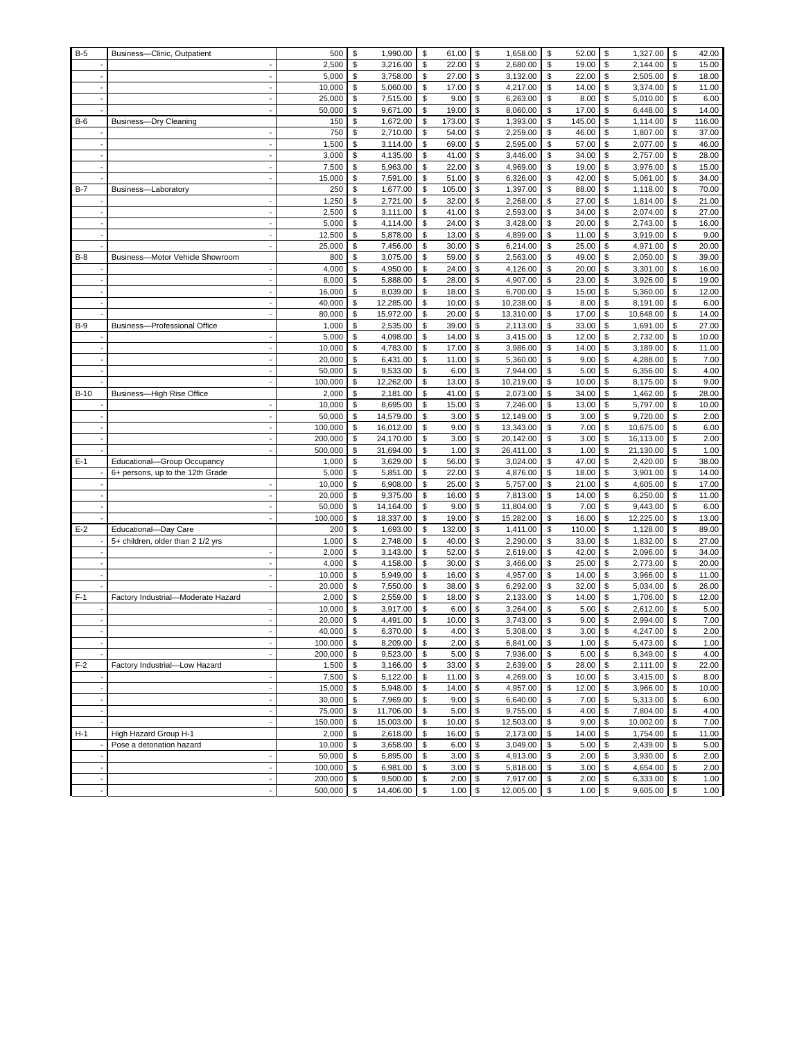| $B-5$  | Business-Clinic, Outpatient        | 500           | \$       | 1,990.00             | \$       | 61.00           | \$       | 1,658.00             | \$       | 52.00          | \$         | 1,327.00             | \$       | 42.00          |
|--------|------------------------------------|---------------|----------|----------------------|----------|-----------------|----------|----------------------|----------|----------------|------------|----------------------|----------|----------------|
|        |                                    | 2,500         | \$       | 3,216.00             | \$       | 22.00           | \$       | 2,680.00             | \$       | 19.00          | \$         | 2,144.00             | \$       | 15.00          |
|        |                                    | 5,000         | \$       | 3,758.00             | \$       | 27.00           | \$       | 3,132.00             | \$       | 22.00          | \$         | 2,505.00             | \$       | 18.00          |
|        |                                    | 10,000        | \$       | 5,060.00             | \$       | 17.00           | \$       | 4,217.00             | \$       | 14.00          | \$         | 3,374.00             | \$       | 11.00          |
|        |                                    | 25,000        | \$       | 7,515.00             | \$       | 9.00            | \$       | 6,263.00             | \$       | 8.00           | \$         | 5,010.00             | \$       | 6.00           |
|        |                                    | 50,000        | \$       | 9,671.00             | \$       | 19.00           | \$       | 8,060.00             | \$       | 17.00          | \$         | 6,448.00             | \$       | 14.00          |
| $B-6$  | Business-Dry Cleaning              | 150           | \$       | 1,672.00             | \$       | 173.00          | \$       | 1,393.00             | \$       | 145.00         | \$         | 1,114.00             | \$       | 116.00         |
|        |                                    | 750           | \$       | 2,710.00             | \$       | 54.00           | \$       | 2,259.00             | \$       | 46.00          | \$         | 1,807.00             | \$       | 37.00          |
|        |                                    | 1,500         | \$       | 3,114.00             | \$       | 69.00           | \$       | 2,595.00             | \$       | 57.00          | \$         | 2,077.00             | \$       | 46.00          |
|        |                                    | 3,000         | \$       | 4,135.00             | \$       | 41.00           | \$       | 3,446.00             | \$       | 34.00          | \$         | 2,757.00             | \$       | 28.00          |
|        |                                    | 7,500         | \$       | 5,963.00             | \$       | 22.00           | \$       | 4,969.00             | \$       | 19.00          | \$         | 3,976.00             | \$       | 15.00          |
|        |                                    | 15,000        | \$       | 7,591.00             | \$       | 51.00           | \$       | 6,326.00             | \$       | 42.00          | \$         | 5,061.00             | \$       | 34.00          |
| $B-7$  | Business-Laboratory                | 250           | \$       | 1,677.00             | \$       | 105.00          | \$       | 1,397.00             | \$       | 88.00          | \$         | 1,118.00             | \$       | 70.00          |
|        |                                    | 1,250         | \$       | 2,721.00             | \$       | 32.00           | \$       | 2,268.00             | \$       | 27.00          | \$         | 1,814.00             | \$       | 21.00          |
|        |                                    | 2,500         | \$       | 3,111.00             | \$       | 41.00           | \$       | 2,593.00             | \$       | 34.00          | \$         | 2,074.00             | \$       | 27.00          |
|        |                                    | 5,000         | \$       | 4,114.00             | \$       | 24.00           | \$       | 3,428.00             | \$       | 20.00          | \$         | 2,743.00             | \$       | 16.00          |
|        |                                    | 12,500        | \$       | 5,878.00             | \$       | 13.00           | \$       | 4,899.00             | \$       | 11.00          | \$         | 3,919.00             | \$       | 9.00           |
| $B-8$  |                                    | 25,000<br>800 | \$<br>\$ | 7,456.00<br>3,075.00 | \$<br>\$ | 30.00<br>59.00  | \$<br>\$ | 6,214.00<br>2,563.00 | \$<br>\$ | 25.00<br>49.00 | \$<br>\$   | 4,971.00<br>2,050.00 | \$<br>\$ | 20.00<br>39.00 |
|        | Business-Motor Vehicle Showroom    | 4,000         | \$       | 4,950.00             | \$       | 24.00           | \$       | 4,126.00             | \$       | 20.00          | \$         | 3,301.00             | \$       | 16.00          |
|        |                                    | 8,000         | \$       | 5,888.00             | \$       | 28.00           | \$       | 4,907.00             | \$       | 23.00          | \$         | 3,926.00             | \$       | 19.00          |
|        |                                    | 16,000        | \$       | 8,039.00             | \$       | 18.00           | \$       | 6,700.00             | \$       | 15.00          | \$         | 5,360.00             | \$       | 12.00          |
|        |                                    | 40,000        | \$       | 12,285.00            | \$       | 10.00           | \$       | 10,238.00            | \$       | 8.00           | \$         | 8,191.00             | \$       | 6.00           |
|        |                                    | 80,000        | \$       | 15,972.00            | \$       | 20.00           | \$       | 13,310.00            | \$       | 17.00          | \$         | 10,648.00            | \$       | 14.00          |
| $B-9$  | Business-Professional Office       | 1,000         | \$       | 2,535.00             | \$       | 39.00           | \$       | 2,113.00             | \$       | 33.00          | \$         | 1,691.00             | \$       | 27.00          |
|        |                                    | 5,000         | \$       | 4,098.00             | \$       | 14.00           | \$       | 3,415.00             | \$       | 12.00          | \$         | 2,732.00             | \$       | 10.00          |
|        |                                    | 10,000        | \$       | 4,783.00             | \$       | 17.00           | \$       | 3,986.00             | \$       | 14.00          | \$         | 3,189.00             | \$       | 11.00          |
|        |                                    | 20.000        | \$       | 6,431.00             | \$       | 11.00           | \$       | 5,360.00             | \$       | 9.00           | \$         | 4,288.00             | \$       | 7.00           |
|        |                                    | 50,000        | \$       | 9,533.00             | \$       | 6.00            | \$       | 7,944.00             | \$       | 5.00           | \$         | 6,356.00             | \$       | 4.00           |
|        |                                    | 100,000       | \$       | 12,262.00            | \$       | 13.00           | \$       | 10,219.00            | \$       | 10.00          | \$         | 8,175.00             | \$       | 9.00           |
| $B-10$ | Business-High Rise Office          | 2,000         | \$       | 2,181.00             | \$       | 41.00           | \$       | 2,073.00             | \$       | 34.00          | \$         | 1,462.00             | \$       | 28.00          |
|        |                                    | 10,000        | \$       | 8,695.00             | \$       | 15.00           | \$       | 7,246.00             | \$       | 13.00          | \$         | 5,797.00             | \$       | 10.00          |
|        |                                    | 50,000        | \$       | 14,579.00            | \$       | 3.00            | \$       | 12,149.00            | \$       | 3.00           | \$         | 9,720.00             | \$       | 2.00           |
|        |                                    | 100,000       | \$       | 16,012.00            | \$       | 9.00            | \$       | 13,343.00            | \$       | 7.00           | \$         | 10,675.00            | \$       | 6.00           |
|        |                                    | 200,000       | \$       | 24,170.00            | \$       | 3.00            | \$       | 20,142.00            | \$       | 3.00           | \$         | 16,113.00            | \$       | 2.00           |
|        |                                    | 500,000       | \$       | 31,694.00            | \$       | 1.00            | \$       | 26,411.00            | \$       | 1.00           | \$         | 21,130.00            | \$       | 1.00           |
| $E-1$  | Educational-Group Occupancy        | 1,000         | \$       | 3,629.00             | \$       | 56.00           | \$       | 3,024.00             | \$       | 47.00          | \$         | 2,420.00             | \$       | 38.00          |
|        | 6+ persons, up to the 12th Grade   | 5,000         | \$       | 5,851.00             | \$       | 22.00           | \$       | 4,876.00             | \$       | 18.00          | \$         | 3,901.00             | \$       | 14.00          |
|        |                                    | 10,000        | \$       | 6,908.00             | \$       | 25.00           | \$       | 5,757.00             | \$       | 21.00          | \$         | 4,605.00             | \$       | 17.00          |
|        |                                    | 20,000        | \$       | 9,375.00             | \$       | 16.00           | \$       | 7,813.00             | \$       | 14.00          | \$         | 6,250.00             | \$       | 11.00          |
|        |                                    | 50,000        | \$       | 14,164.00            | \$       | 9.00            | \$       | 11,804.00            | \$       | 7.00           | \$         | 9,443.00             | \$       | 6.00           |
|        |                                    | 100,000       | \$       | 18,337.00            | \$       | 19.00           | \$       | 15,282.00            | \$       | 16.00          | \$         | 12,225.00            | \$       | 13.00          |
| $E-2$  | Educational-Day Care               | 200<br>1,000  | \$<br>\$ | 1,693.00             | \$<br>\$ | 132.00<br>40.00 | \$<br>\$ | 1,411.00             | \$<br>\$ | 110.00         | \$<br>\$   | 1,128.00             | \$       | 89.00<br>27.00 |
|        | 5+ children, older than 2 1/2 yrs  | 2,000         | \$       | 2,748.00<br>3,143.00 | \$       | 52.00           | \$       | 2,290.00<br>2,619.00 | \$       | 33.00<br>42.00 | \$         | 1,832.00<br>2,096.00 | \$<br>\$ | 34.00          |
|        |                                    | 4,000         | \$       | 4,158.00             | \$       | 30.00           | \$       | 3,466.00             | \$       | 25.00          | \$         | 2,773.00             | \$       | 20.00          |
|        |                                    | 10,000        | \$       | 5,949.00             | \$       | 16.00           | \$       | 4,957.00             | \$       | 14.00          | \$         | 3,966.00             | \$       | 11.00          |
|        |                                    | 20,000        | \$       | 7,550.00             | \$       | 38.00           | \$       | 6,292.00             | \$       | 32.00          | \$         | 5,034.00             | \$       | 26.00          |
| $F-1$  | Factory Industrial-Moderate Hazard | 2,000         | \$       | 2,559.00             | \$       | 18.00           | \$       | 2,133.00             | \$       | 14.00          | \$         | 1,706.00             | \$       | 12.00          |
|        |                                    | 10,000        | \$       | 3,917.00             | \$       | 6.00            | \$       | 3,264.00             | \$       | 5.00           | \$         | 2,612.00             | \$       | 5.00           |
|        |                                    | 20,000        | \$       | 4,491.00             | \$       | 10.00           | \$       | 3,743.00             | \$       | 9.00           | \$         | 2,994.00             | \$       | 7.00           |
|        |                                    | 40,000        | \$       | 6,370.00             | \$       | 4.00            | \$       | 5,308.00             | \$       | 3.00           | \$         | 4,247.00             | \$       | 2.00           |
|        |                                    | 100,000       | \$       | 8,209.00             | \$       | 2.00            | \$       | 6,841.00             | \$       | 1.00           | \$         | 5,473.00             | \$       | 1.00           |
|        |                                    | 200,000       | \$       | 9,523.00             | \$       | $5.00$ \$       |          | 7,936.00             | \$       | 5.00           | $\sqrt{3}$ | 6,349.00             | \$       | 4.00           |
| $F-2$  | Factory Industrial-Low Hazard      | 1,500         | \$       | 3,166.00             | \$       | 33.00           | \$       | 2,639.00             | \$       | 28.00          | \$         | 2,111.00             | \$       | 22.00          |
|        |                                    | 7,500         | \$       | 5,122.00             | \$       | 11.00           | \$       | 4,269.00             | \$       | 10.00          | \$         | 3,415.00             | \$       | 8.00           |
|        |                                    | 15,000        | \$       | 5,948.00             | \$       | 14.00           | \$       | 4,957.00             | \$       | 12.00          | \$         | 3,966.00             | \$       | 10.00          |
|        |                                    | 30,000        | \$       | 7,969.00             | \$       | 9.00            | \$       | 6,640.00             | \$       | 7.00           | \$         | 5,313.00             | \$       | 6.00           |
|        |                                    | 75,000        | \$       | 11,706.00            | \$       | 5.00            | \$       | 9,755.00             | \$       | 4.00           | \$         | 7,804.00             | \$       | 4.00           |
|        |                                    | 150,000       | \$       | 15,003.00            | \$       | 10.00           | \$       | 12,503.00            | \$       | 9.00           | \$         | 10,002.00            | \$       | 7.00           |
| $H-1$  | High Hazard Group H-1              | 2,000         | \$       | 2,618.00             | \$       | 16.00           | \$       | 2,173.00             | \$       | 14.00          | \$         | 1,754.00             | \$       | 11.00          |
|        | Pose a detonation hazard           | 10,000        | \$       | 3,658.00             | \$       | 6.00            | \$       | 3,049.00             | \$       | 5.00           | \$         | 2,439.00             | \$       | 5.00           |
|        |                                    | 50,000        | \$       | 5,895.00             | \$       | 3.00            | \$       | 4,913.00             | \$       | 2.00           | \$         | 3,930.00             | \$       | 2.00           |
|        |                                    | 100,000       | \$       | 6,981.00             | \$       | 3.00            | \$       | 5,818.00             | \$       | 3.00           | \$         | 4,654.00             | \$       | 2.00           |
|        |                                    | 200,000       | \$       | 9,500.00             | \$       | 2.00            | \$       | 7,917.00             | \$       | 2.00           | \$         | 6,333.00             | \$       | 1.00           |
|        |                                    | 500,000       | \$       | 14,406.00            | \$       | 1.00            | \$       | 12,005.00            | \$       | 1.00           | $\sqrt{3}$ | 9,605.00             | \$       | 1.00           |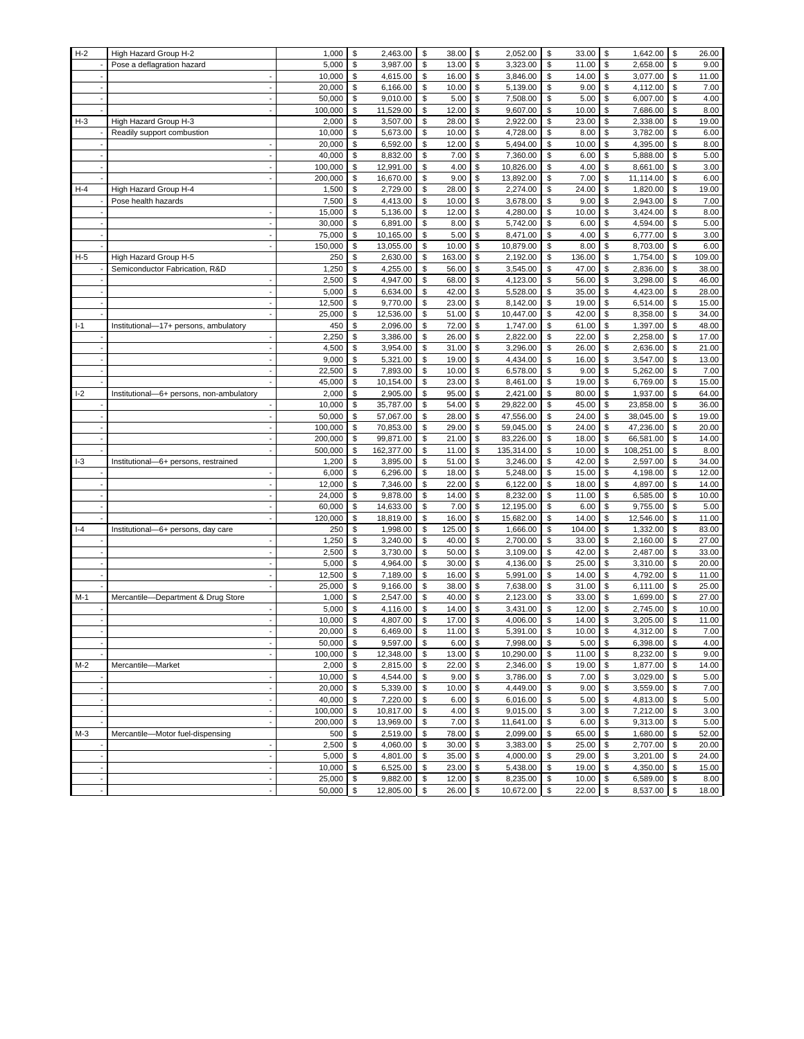| $H-2$ | High Hazard Group H-2                    | 1,000   | \$<br>2,463.00   | \$<br>38.00  | \$<br>2,052.00   | \$<br>33.00  | \$<br>1,642.00   | \$<br>26.00  |
|-------|------------------------------------------|---------|------------------|--------------|------------------|--------------|------------------|--------------|
|       | Pose a deflagration hazard               | 5,000   | \$<br>3,987.00   | \$<br>13.00  | \$<br>3,323.00   | \$<br>11.00  | \$<br>2,658.00   | \$<br>9.00   |
|       |                                          | 10,000  | \$<br>4,615.00   | \$<br>16.00  | \$<br>3,846.00   | \$<br>14.00  | \$<br>3,077.00   | \$<br>11.00  |
|       |                                          | 20,000  | 6,166.00<br>\$   | \$<br>10.00  | \$<br>5,139.00   | \$<br>9.00   | 4,112.00<br>\$   | \$<br>7.00   |
|       |                                          | 50,000  | \$<br>9,010.00   | \$<br>5.00   | \$<br>7,508.00   | \$<br>5.00   | \$<br>6,007.00   | \$<br>4.00   |
|       |                                          | 100,000 | \$<br>11,529.00  | \$<br>12.00  | \$<br>9,607.00   | \$<br>10.00  | \$<br>7,686.00   | \$<br>8.00   |
| $H-3$ | High Hazard Group H-3                    | 2,000   | \$<br>3,507.00   | \$<br>28.00  | \$<br>2,922.00   | \$<br>23.00  | \$<br>2,338.00   | \$<br>19.00  |
|       | Readily support combustion               | 10,000  | \$<br>5,673.00   | \$<br>10.00  | \$<br>4,728.00   | \$<br>8.00   | \$<br>3,782.00   | \$<br>6.00   |
|       |                                          | 20,000  | \$<br>6,592.00   | \$<br>12.00  | \$<br>5,494.00   | \$<br>10.00  | 4,395.00<br>\$   | \$<br>8.00   |
|       |                                          | 40,000  | \$<br>8,832.00   | \$<br>7.00   | \$<br>7,360.00   | \$<br>6.00   | \$<br>5,888.00   | \$<br>5.00   |
|       |                                          | 100,000 | \$<br>12,991.00  | \$<br>4.00   | \$<br>10,826.00  | \$<br>4.00   | \$<br>8,661.00   | \$<br>3.00   |
|       |                                          | 200,000 | \$<br>16,670.00  | \$<br>9.00   | \$<br>13,892.00  | \$<br>7.00   | \$<br>11,114.00  | \$<br>6.00   |
| $H-4$ | High Hazard Group H-4                    | 1,500   | \$<br>2,729.00   | \$<br>28.00  | \$<br>2,274.00   | \$<br>24.00  | 1,820.00<br>\$   | \$<br>19.00  |
|       | Pose health hazards                      | 7,500   | \$<br>4,413.00   | \$<br>10.00  | \$<br>3,678.00   | \$<br>9.00   | \$<br>2,943.00   | \$<br>7.00   |
|       |                                          | 15,000  | \$<br>5,136.00   | \$<br>12.00  | \$<br>4,280.00   | \$<br>10.00  | \$<br>3,424.00   | \$<br>8.00   |
|       |                                          | 30,000  | 6,891.00<br>\$   | \$<br>8.00   | \$<br>5,742.00   | \$<br>6.00   | 4,594.00<br>\$   | \$<br>5.00   |
|       |                                          | 75,000  | \$<br>10,165.00  | \$<br>5.00   | \$<br>8,471.00   | \$<br>4.00   | \$<br>6,777.00   | \$<br>3.00   |
|       |                                          | 150,000 | \$<br>13,055.00  | \$<br>10.00  | \$<br>10,879.00  | \$<br>8.00   | \$<br>8,703.00   | \$<br>6.00   |
| $H-5$ | High Hazard Group H-5                    | 250     | \$<br>2,630.00   | \$<br>163.00 | \$<br>2,192.00   | \$<br>136.00 | \$<br>1,754.00   | \$<br>109.00 |
|       | Semiconductor Fabrication, R&D           | 1,250   | \$<br>4,255.00   | \$<br>56.00  | \$<br>3,545.00   | \$<br>47.00  | \$<br>2,836.00   | \$<br>38.00  |
|       |                                          | 2,500   | 4,947.00<br>\$   | \$<br>68.00  | \$<br>4,123.00   | \$<br>56.00  | 3,298.00<br>\$   | \$<br>46.00  |
|       |                                          | 5,000   | \$<br>6,634.00   | \$<br>42.00  | \$<br>5,528.00   | \$<br>35.00  | \$<br>4,423.00   | \$<br>28.00  |
|       |                                          | 12,500  | \$<br>9,770.00   | \$<br>23.00  | \$<br>8,142.00   | \$<br>19.00  | \$<br>6,514.00   | \$<br>15.00  |
|       |                                          | 25,000  | \$<br>12,536.00  | \$<br>51.00  | \$<br>10,447.00  | \$<br>42.00  | \$<br>8,358.00   | \$<br>34.00  |
| $I-1$ | Institutional-17+ persons, ambulatory    | 450     | \$<br>2,096.00   | \$<br>72.00  | \$<br>1,747.00   | \$<br>61.00  | \$<br>1,397.00   | \$<br>48.00  |
|       |                                          | 2,250   | \$<br>3,386.00   | \$<br>26.00  | \$<br>2,822.00   | \$<br>22.00  | \$<br>2,258.00   | \$<br>17.00  |
|       |                                          | 4,500   | \$<br>3,954.00   | \$<br>31.00  | \$<br>3,296.00   | \$<br>26.00  | \$<br>2,636.00   | \$<br>21.00  |
|       |                                          | 9,000   | \$<br>5,321.00   | \$<br>19.00  | \$<br>4,434.00   | \$<br>16.00  | \$<br>3,547.00   | \$<br>13.00  |
|       |                                          | 22,500  | 7,893.00<br>\$   | \$<br>10.00  | \$<br>6,578.00   | \$<br>9.00   | 5,262.00<br>\$   | \$<br>7.00   |
|       |                                          | 45,000  | 10,154.00<br>\$  | \$<br>23.00  | \$<br>8,461.00   | \$<br>19.00  | 6,769.00<br>\$   | \$<br>15.00  |
| $I-2$ | Institutional-6+ persons, non-ambulatory | 2,000   | \$<br>2,905.00   | \$<br>95.00  | \$<br>2,421.00   | \$<br>80.00  | \$<br>1,937.00   | \$<br>64.00  |
|       |                                          | 10,000  | \$<br>35,787.00  | \$<br>54.00  | \$<br>29,822.00  | \$<br>45.00  | \$<br>23,858.00  | \$<br>36.00  |
|       |                                          | 50,000  | \$<br>57,067.00  | \$<br>28.00  | \$<br>47,556.00  | \$<br>24.00  | \$<br>38,045.00  | \$<br>19.00  |
|       |                                          | 100,000 | \$<br>70,853.00  | \$<br>29.00  | \$<br>59,045.00  | \$<br>24.00  | \$<br>47,236.00  | \$<br>20.00  |
|       |                                          | 200,000 | \$<br>99,871.00  | \$<br>21.00  | \$<br>83,226.00  | \$<br>18.00  | \$<br>66,581.00  | \$<br>14.00  |
|       |                                          | 500,000 | \$<br>162,377.00 | \$<br>11.00  | \$<br>135,314.00 | \$<br>10.00  | \$<br>108,251.00 | \$<br>8.00   |
| $I-3$ | Institutional-6+ persons, restrained     | 1,200   | \$<br>3,895.00   | \$<br>51.00  | \$<br>3,246.00   | \$<br>42.00  | 2,597.00<br>\$   | \$<br>34.00  |
|       |                                          | 6,000   | \$<br>6,296.00   | \$<br>18.00  | \$<br>5,248.00   | \$<br>15.00  | 4,198.00<br>\$   | \$<br>12.00  |
|       |                                          | 12,000  | \$<br>7,346.00   | \$<br>22.00  | \$<br>6,122.00   | \$<br>18.00  | \$<br>4,897.00   | \$<br>14.00  |
|       |                                          | 24,000  | \$<br>9,878.00   | \$<br>14.00  | \$<br>8,232.00   | \$<br>11.00  | \$<br>6,585.00   | \$<br>10.00  |
|       |                                          | 60,000  | \$<br>14,633.00  | \$<br>7.00   | \$<br>12,195.00  | \$<br>6.00   | 9,755.00<br>\$   | \$<br>5.00   |
|       |                                          | 120,000 | \$<br>18,819.00  | \$<br>16.00  | \$<br>15,682.00  | \$<br>14.00  | \$<br>12,546.00  | \$<br>11.00  |
| $I-4$ | Institutional-6+ persons, day care       | 250     | \$<br>1,998.00   | \$<br>125.00 | \$<br>1,666.00   | \$<br>104.00 | \$<br>1,332.00   | \$<br>83.00  |
|       |                                          | 1,250   | \$<br>3,240.00   | \$<br>40.00  | \$<br>2,700.00   | \$<br>33.00  | \$<br>2,160.00   | \$<br>27.00  |
|       |                                          | 2,500   | \$<br>3,730.00   | \$<br>50.00  | \$<br>3,109.00   | \$<br>42.00  | \$<br>2,487.00   | \$<br>33.00  |
|       |                                          | 5,000   | \$<br>4,964.00   | \$<br>30.00  | \$<br>4,136.00   | \$<br>25.00  | 3,310.00<br>\$   | \$<br>20.00  |
|       |                                          | 12,500  | \$<br>7,189.00   | \$<br>16.00  | \$<br>5,991.00   | \$<br>14.00  | 4,792.00<br>\$   | \$<br>11.00  |
|       |                                          | 25,000  | \$<br>9,166.00   | \$<br>38.00  | \$<br>7,638.00   | \$<br>31.00  | \$<br>6,111.00   | \$<br>25.00  |
| $M-1$ | Mercantile-Department & Drug Store       | 1,000   | \$<br>2,547.00   | \$<br>40.00  | \$<br>2,123.00   | \$<br>33.00  | \$<br>1,699.00   | \$<br>27.00  |
|       |                                          | 5,000   | 4,116.00<br>\$   | \$<br>14.00  | \$<br>3,431.00   | \$<br>12.00  | 2,745.00<br>\$   | \$<br>10.00  |
|       |                                          | 10,000  | \$<br>4,807.00   | \$<br>17.00  | \$<br>4,006.00   | \$<br>14.00  | \$<br>3,205.00   | \$<br>11.00  |
|       |                                          | 20,000  | \$<br>6,469.00   | \$<br>11.00  | \$<br>5,391.00   | \$<br>10.00  | \$<br>4,312.00   | \$<br>7.00   |
|       |                                          | 50,000  | \$<br>9,597.00   | \$<br>6.00   | \$<br>7,998.00   | \$<br>5.00   | 6,398.00<br>\$   | \$<br>4.00   |
|       |                                          | 100,000 | 12,348.00<br>\$  | \$<br>13.00  | \$<br>10,290.00  | \$<br>11.00  | 8,232.00<br>\$   | \$<br>9.00   |
| $M-2$ | Mercantile-Market                        | 2,000   | \$<br>2,815.00   | \$<br>22.00  | \$<br>2,346.00   | \$<br>19.00  | 1,877.00<br>\$   | \$<br>14.00  |
|       |                                          | 10,000  | \$<br>4,544.00   | \$<br>9.00   | \$<br>3,786.00   | \$<br>7.00   | \$<br>3,029.00   | \$<br>5.00   |
|       |                                          | 20,000  | \$<br>5,339.00   | \$<br>10.00  | \$<br>4,449.00   | \$<br>9.00   | \$<br>3,559.00   | \$<br>7.00   |
|       |                                          | 40,000  | \$<br>7,220.00   | \$<br>6.00   | \$<br>6,016.00   | \$<br>5.00   | 4,813.00<br>\$   | \$<br>5.00   |
|       |                                          | 100,000 | \$<br>10,817.00  | \$<br>4.00   | \$<br>9,015.00   | \$<br>3.00   | \$<br>7,212.00   | \$<br>3.00   |
|       |                                          | 200,000 | \$<br>13,969.00  | \$<br>7.00   | \$<br>11,641.00  | \$<br>6.00   | \$<br>9,313.00   | \$<br>5.00   |
| $M-3$ | Mercantile-Motor fuel-dispensing         | 500     | \$<br>2,519.00   | \$<br>78.00  | \$<br>2,099.00   | \$<br>65.00  | \$<br>1,680.00   | \$<br>52.00  |
|       | $\sim$                                   | 2,500   | \$<br>4,060.00   | \$<br>30.00  | \$<br>3,383.00   | \$<br>25.00  | 2,707.00<br>\$   | \$<br>20.00  |
|       |                                          | 5,000   | 4,801.00<br>\$   | \$<br>35.00  | \$<br>4,000.00   | \$<br>29.00  | 3,201.00<br>\$   | \$<br>24.00  |
|       |                                          |         |                  |              |                  |              |                  |              |
|       |                                          | 10,000  | \$<br>6,525.00   | \$<br>23.00  | \$<br>5,438.00   | \$<br>19.00  | \$<br>4,350.00   | \$<br>15.00  |
|       |                                          | 25,000  | \$<br>9,882.00   | \$<br>12.00  | \$<br>8,235.00   | \$<br>10.00  | \$<br>6,589.00   | \$<br>8.00   |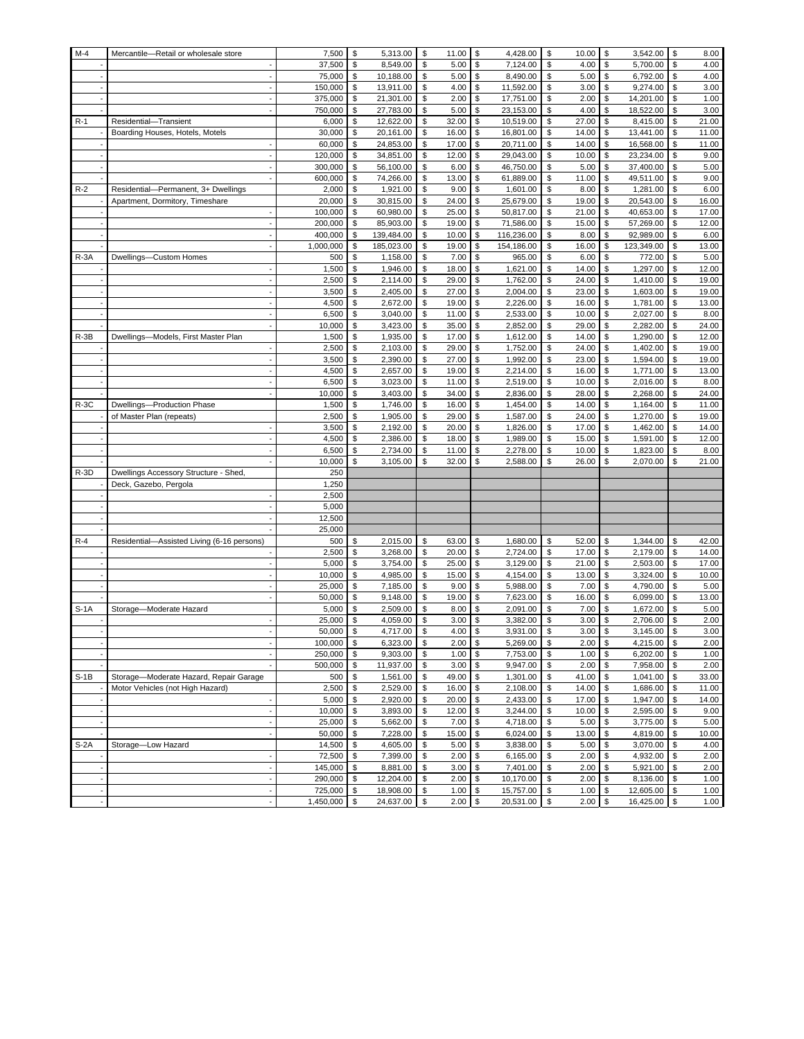| $M-4$  | Mercantile-Retail or wholesale store                   | 7,500            | \$               | 5,313.00               | \$       | 11.00          | \$             | 4,428.00              | \$       | 10.00          | \$       | 3,542.00              | \$       | 8.00           |
|--------|--------------------------------------------------------|------------------|------------------|------------------------|----------|----------------|----------------|-----------------------|----------|----------------|----------|-----------------------|----------|----------------|
|        |                                                        | 37,500           | \$               | 8,549.00               | \$       | 5.00           | \$             | 7,124.00              | \$       | 4.00           | \$       | 5,700.00              | \$       | 4.00           |
|        |                                                        | 75,000           | \$               | 10,188.00              | \$       | 5.00           | \$             | 8,490.00              | \$       | 5.00           | \$       | 6,792.00              | \$       | 4.00           |
|        |                                                        | 150,000          | \$               | 13,911.00              | \$       | 4.00           | \$             | 11,592.00             | \$       | 3.00           | \$       | 9,274.00              | \$       | 3.00           |
|        |                                                        | 375,000          | \$               | 21,301.00              | \$       | 2.00           | \$             | 17,751.00             | \$       | 2.00           | \$       | 14,201.00             | \$       | 1.00           |
|        |                                                        | 750,000          | \$               | 27,783.00              | \$       | 5.00           | \$             | 23,153.00             | \$       | 4.00           | \$       | 18,522.00             | \$       | 3.00           |
| $R-1$  | Residential-Transient                                  | 6,000            | \$               | 12,622.00              | \$       | 32.00          | \$             | 10,519.00             | \$       | 27.00          | \$       | 8,415.00              | \$       | 21.00          |
|        | Boarding Houses, Hotels, Motels                        | 30,000           | \$               | 20,161.00              | \$       | 16.00          | \$             | 16,801.00             | \$       | 14.00          | \$       | 13,441.00             | \$       | 11.00          |
|        |                                                        | 60,000           | \$               | 24,853.00              | \$       | 17.00          | \$             | 20,711.00             | \$       | 14.00          | \$       | 16,568.00             | \$       | 11.00          |
|        |                                                        | 120,000          | \$               | 34,851.00              | \$       | 12.00          | \$             | 29,043.00             | \$       | 10.00          | \$       | 23,234.00             | \$       | 9.00           |
|        |                                                        | 300,000          | \$<br>\$         | 56,100.00<br>74,266.00 | \$<br>\$ | 6.00           | \$<br>\$       | 46,750.00             | \$       | 5.00           | \$<br>\$ | 37,400.00             | \$       | 5.00<br>9.00   |
| $R-2$  | Residential-Permanent, 3+ Dwellings                    | 600,000<br>2,000 | \$               | 1,921.00               | \$       | 13.00<br>9.00  | \$             | 61,889.00<br>1,601.00 | \$<br>\$ | 11.00<br>8.00  | \$       | 49,511.00<br>1,281.00 | \$<br>\$ | 6.00           |
|        | Apartment, Dormitory, Timeshare                        | 20,000           | \$               | 30,815.00              | \$       | 24.00          | \$             | 25,679.00             | \$       | 19.00          | \$       | 20,543.00             | \$       | 16.00          |
|        |                                                        | 100,000          | \$               | 60,980.00              | \$       | 25.00          | \$             | 50,817.00             | \$       | 21.00          | \$       | 40,653.00             | \$       | 17.00          |
|        |                                                        | 200,000          | \$               | 85,903.00              | \$       | 19.00          | \$             | 71,586.00             | \$       | 15.00          | \$       | 57,269.00             | \$       | 12.00          |
|        |                                                        | 400,000          | \$<br>139,484.00 |                        | \$       | 10.00          | \$             | 116,236.00            | \$       | 8.00           | \$       | 92,989.00             | \$       | 6.00           |
|        |                                                        | 1,000,000        | \$<br>185,023.00 |                        | \$       | 19.00          | \$             | 154,186.00            | \$       | 16.00          | \$       | 123,349.00            | \$       | 13.00          |
| $R-3A$ | Dwellings-Custom Homes                                 | 500              | \$               | 1,158.00               | \$       | 7.00           | \$             | 965.00                | \$       | 6.00           | \$       | 772.00                | \$       | 5.00           |
|        |                                                        | 1,500            | \$               | 1,946.00               | \$       | 18.00          | \$             | 1,621.00              | \$       | 14.00          | \$       | 1,297.00              | \$       | 12.00          |
|        | $\overline{\phantom{a}}$                               | 2,500            | \$               | 2,114.00               | \$       | 29.00          | \$             | 1,762.00              | \$       | 24.00          | \$       | 1,410.00              | \$       | 19.00          |
|        |                                                        | 3,500            | \$               | 2,405.00               | \$       | 27.00          | \$             | 2,004.00              | \$       | 23.00          | \$       | 1,603.00              | \$       | 19.00          |
|        |                                                        | 4,500            | \$               | 2,672.00               | \$       | 19.00          | \$             | 2,226.00              | \$       | 16.00          | \$       | 1,781.00              | \$       | 13.00          |
|        |                                                        | 6,500            | \$               | 3,040.00               | \$       | 11.00          | \$             | 2,533.00              | \$       | 10.00          | \$       | 2,027.00              | \$       | 8.00           |
|        |                                                        | 10,000           | \$               | 3,423.00               | \$       | 35.00          | \$             | 2,852.00              | \$       | 29.00          | \$       | 2,282.00              | \$       | 24.00          |
| $R-3B$ | Dwellings-Models, First Master Plan                    | 1,500            | \$               | 1,935.00               | \$       | 17.00          | \$             | 1,612.00              | \$       | 14.00          | \$       | 1,290.00              | \$       | 12.00          |
|        |                                                        | 2,500            | \$               | 2,103.00               | \$       | 29.00          | \$             | 1,752.00              | \$       | 24.00          | \$       | 1,402.00              | \$       | 19.00          |
|        |                                                        | 3,500            | \$               | 2,390.00               | \$       | 27.00          | \$             | 1,992.00              | \$       | 23.00          | \$       | 1,594.00              | \$       | 19.00          |
|        |                                                        | 4,500            | \$               | 2,657.00               | \$       | 19.00          | \$             | 2,214.00              | \$       | 16.00          | \$       | 1,771.00              | \$       | 13.00          |
|        |                                                        | 6,500            | \$               | 3,023.00               | \$       | 11.00          | \$             | 2,519.00              | \$       | 10.00          | \$       | 2,016.00              | \$       | 8.00           |
|        |                                                        | 10,000           | \$<br>\$         | 3,403.00               | \$       | 34.00          | \$<br>\$       | 2,836.00              | \$       | 28.00          | \$       | 2,268.00              | \$       | 24.00          |
| $R-3C$ | Dwellings-Production Phase<br>of Master Plan (repeats) | 1,500<br>2,500   | \$               | 1,746.00<br>1,905.00   | \$<br>\$ | 16.00<br>29.00 | \$             | 1,454.00<br>1,587.00  | \$<br>\$ | 14.00<br>24.00 | \$<br>\$ | 1,164.00<br>1,270.00  | \$<br>\$ | 11.00<br>19.00 |
|        |                                                        | 3,500            | \$               | 2,192.00               | \$       | 20.00          | \$             | 1,826.00              | \$       | 17.00          | \$       | 1,462.00              | \$       | 14.00          |
|        |                                                        | 4,500            | \$               | 2,386.00               | \$       | 18.00          | \$             | 1,989.00              | \$       | 15.00          | \$       | 1,591.00              | \$       | 12.00          |
|        |                                                        | 6,500            | \$               | 2,734.00               | \$       | 11.00          | \$             | 2,278.00              | \$       | 10.00          | \$       | 1,823.00              | \$       | 8.00           |
|        |                                                        | 10,000           | \$               | 3,105.00               | \$       | 32.00          | \$             | 2,588.00              | \$       | 26.00          | \$       | 2,070.00              | \$       | 21.00          |
| R-3D   | Dwellings Accessory Structure - Shed,                  | 250              |                  |                        |          |                |                |                       |          |                |          |                       |          |                |
|        | Deck, Gazebo, Pergola                                  | 1,250            |                  |                        |          |                |                |                       |          |                |          |                       |          |                |
|        |                                                        | 2,500            |                  |                        |          |                |                |                       |          |                |          |                       |          |                |
|        |                                                        | 5,000            |                  |                        |          |                |                |                       |          |                |          |                       |          |                |
|        |                                                        | 12,500           |                  |                        |          |                |                |                       |          |                |          |                       |          |                |
|        |                                                        | 25,000           |                  |                        |          |                |                |                       |          |                |          |                       |          |                |
| $R-4$  | Residential-Assisted Living (6-16 persons)             | 500              | \$               | 2,015.00               | \$       | 63.00          | \$             | 1,680.00              | \$       | 52.00          | \$       | 1,344.00              | \$       | 42.00          |
|        |                                                        | 2,500            | \$               | 3,268.00               | \$       | 20.00          | \$             | 2,724.00              | \$       | 17.00          | \$       | 2,179.00              | \$       | 14.00          |
|        |                                                        | 5,000            | \$               | 3,754.00               | \$       | 25.00          | \$             | 3,129.00              | \$       | 21.00          | \$       | 2,503.00              | \$       | 17.00          |
|        |                                                        | 10,000<br>25,000 | \$<br>\$         | 4,985.00<br>7,185.00   | \$<br>\$ | 15.00<br>9.00  | \$<br>\$       | 4,154.00<br>5,988.00  | \$<br>\$ | 13.00<br>7.00  | \$<br>\$ | 3,324.00<br>4,790.00  | \$<br>\$ | 10.00<br>5.00  |
|        |                                                        | 50,000           | \$               | 9,148.00               | \$       | 19.00          | \$             | 7,623.00              | \$       | 16.00          | \$       | 6,099.00              | \$       | 13.00          |
| $S-1A$ | Storage-Moderate Hazard                                | 5,000            | \$               | 2,509.00               | \$       | 8.00           | \$             | 2,091.00              | \$       | 7.00           | \$       | 1,672.00              | \$       | 5.00           |
|        |                                                        | 25,000           | \$               | 4,059.00               | \$       | 3.00           | \$             | 3,382.00              | \$       | 3.00           | \$       | 2,706.00              | \$       | 2.00           |
|        |                                                        | 50,000           | \$               | 4,717.00               | \$       | 4.00           | $$\mathbb{S}$$ | 3,931.00              | \$       | 3.00           | \$       | 3,145.00              | \$       | 3.00           |
|        |                                                        | 100,000          | \$               | 6,323.00               | \$       | 2.00           | \$             | 5,269.00              | \$       | 2.00           | \$       | 4,215.00              | \$       | 2.00           |
|        |                                                        | 250,000          | \$               | 9,303.00               | \$       | 1.00           | \$             | 7,753.00              | \$       | 1.00           | \$       | 6,202.00              | \$       | 1.00           |
|        |                                                        | 500,000          | \$               | 11,937.00              | \$       | 3.00           | \$             | 9,947.00              | \$       | 2.00           | \$       | 7,958.00              | \$       | 2.00           |
| $S-1B$ | Storage-Moderate Hazard, Repair Garage                 | 500              | \$               | 1,561.00               | \$       | 49.00          | \$             | 1,301.00              | \$       | 41.00          | \$       | 1,041.00              | \$       | 33.00          |
|        | Motor Vehicles (not High Hazard)                       | 2,500            | \$               | 2,529.00               | \$       | 16.00          | \$             | 2,108.00              | \$       | 14.00          | \$       | 1,686.00              | \$       | 11.00          |
|        |                                                        | 5,000            | \$               | 2,920.00               | \$       | 20.00          | \$             | 2,433.00              | \$       | 17.00          | \$       | 1,947.00              | \$       | 14.00          |
|        | $\overline{\phantom{a}}$                               | 10,000           | \$               | 3,893.00               | \$       | 12.00          | \$             | 3,244.00              | \$       | 10.00          | \$       | 2,595.00              | \$       | 9.00           |
|        |                                                        | 25,000           | \$               | 5,662.00               | \$       | 7.00           | \$             | 4,718.00              | \$       | 5.00           | \$       | 3,775.00              | \$       | 5.00           |
|        |                                                        | 50,000           | \$               | 7,228.00               | \$       | 15.00          | \$             | 6,024.00              | \$       | 13.00          | \$       | 4,819.00<br>3,070.00  | \$       | 10.00          |
| $S-2A$ | Storage-Low Hazard<br>$\overline{\phantom{a}}$         | 14,500<br>72,500 | \$<br>\$         | 4,605.00<br>7,399.00   | \$<br>\$ | 5.00<br>2.00   | \$<br>\$       | 3,838.00              | \$<br>\$ | 5.00<br>2.00   | \$<br>\$ | 4,932.00              | \$<br>\$ | 4.00<br>2.00   |
|        | $\overline{\phantom{a}}$                               | 145,000          | \$               | 8,881.00               | \$       | 3.00           | \$             | 6,165.00<br>7,401.00  | \$       | 2.00           | \$       | 5,921.00              | \$       | 2.00           |
|        | $\overline{\phantom{a}}$                               | 290,000          | \$               | 12,204.00              | \$       | 2.00           | \$             | 10,170.00             | \$       | 2.00           | \$       | 8,136.00              | \$       | 1.00           |
|        |                                                        | 725,000          | \$               | 18,908.00              | \$       | 1.00           | \$             | 15,757.00             | \$       | 1.00           | \$       | 12,605.00             | \$       | 1.00           |
|        |                                                        | 1,450,000        | \$               | 24,637.00              | \$       | 2.00           | \$             | 20,531.00             | \$       | 2.00           | \$       | 16,425.00             | \$       | 1.00           |